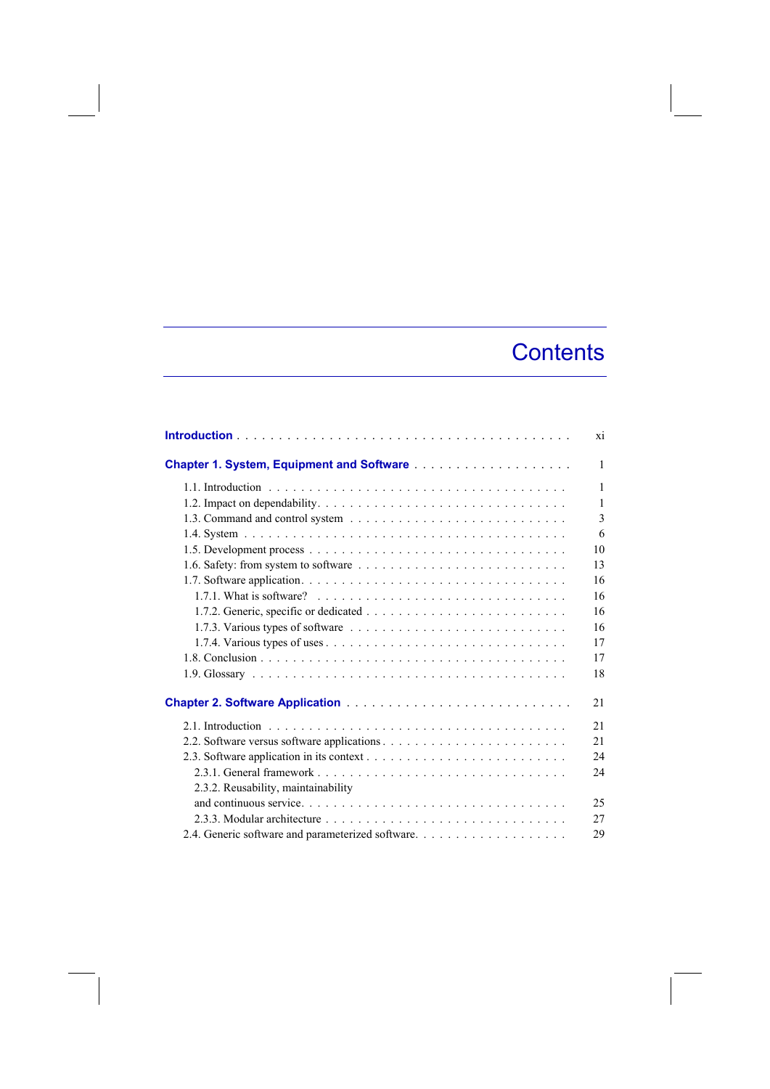## **Contents**

|                                                                                                  | <b>xi</b>     |
|--------------------------------------------------------------------------------------------------|---------------|
|                                                                                                  | $\mathbf{1}$  |
|                                                                                                  | $\mathbf{1}$  |
|                                                                                                  | $\mathbf{1}$  |
|                                                                                                  | $\mathcal{E}$ |
|                                                                                                  | 6             |
|                                                                                                  | 10            |
|                                                                                                  | 13            |
|                                                                                                  | 16            |
| 1.7.1. What is software? $\ldots \ldots \ldots \ldots \ldots \ldots \ldots \ldots \ldots \ldots$ | 16            |
|                                                                                                  | 16            |
|                                                                                                  | 16            |
|                                                                                                  | 17            |
|                                                                                                  | 17            |
|                                                                                                  | 18            |
|                                                                                                  | 2.1           |
|                                                                                                  | 21            |
|                                                                                                  | 21            |
|                                                                                                  | 24            |
|                                                                                                  | 24            |
| 2.3.2. Reusability, maintainability                                                              |               |
|                                                                                                  | 25            |
|                                                                                                  | 27            |
|                                                                                                  | 29            |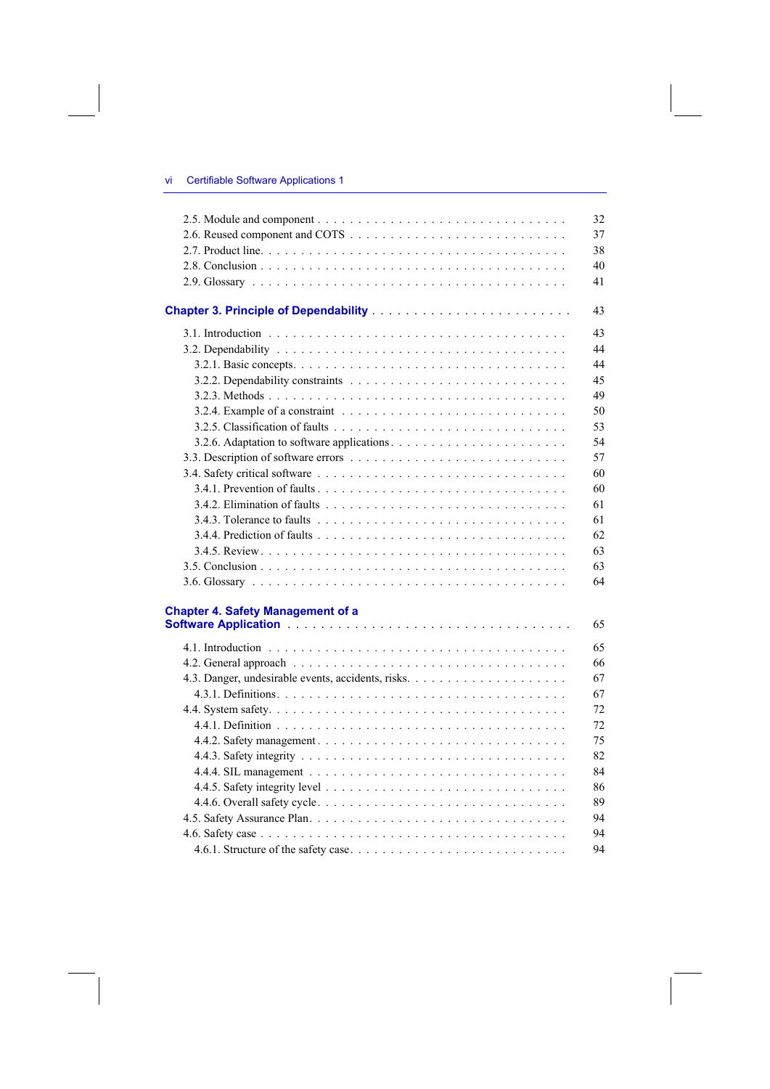|                                          | 32 |
|------------------------------------------|----|
|                                          | 37 |
|                                          | 38 |
|                                          | 40 |
|                                          | 41 |
|                                          | 43 |
|                                          | 43 |
|                                          | 44 |
|                                          | 44 |
|                                          | 45 |
|                                          | 49 |
|                                          | 50 |
|                                          | 53 |
|                                          | 54 |
|                                          | 57 |
|                                          | 60 |
|                                          | 60 |
|                                          | 61 |
|                                          | 61 |
|                                          | 62 |
|                                          | 63 |
|                                          | 63 |
|                                          | 64 |
| <b>Chapter 4. Safety Management of a</b> |    |
|                                          | 65 |
|                                          | 65 |
|                                          | 66 |
|                                          | 67 |
|                                          | 67 |
|                                          | 72 |
|                                          | 72 |
|                                          | 75 |
|                                          | 82 |
|                                          | 84 |
|                                          | 86 |
|                                          | 89 |
|                                          | 94 |
|                                          | 94 |
|                                          | 94 |
|                                          |    |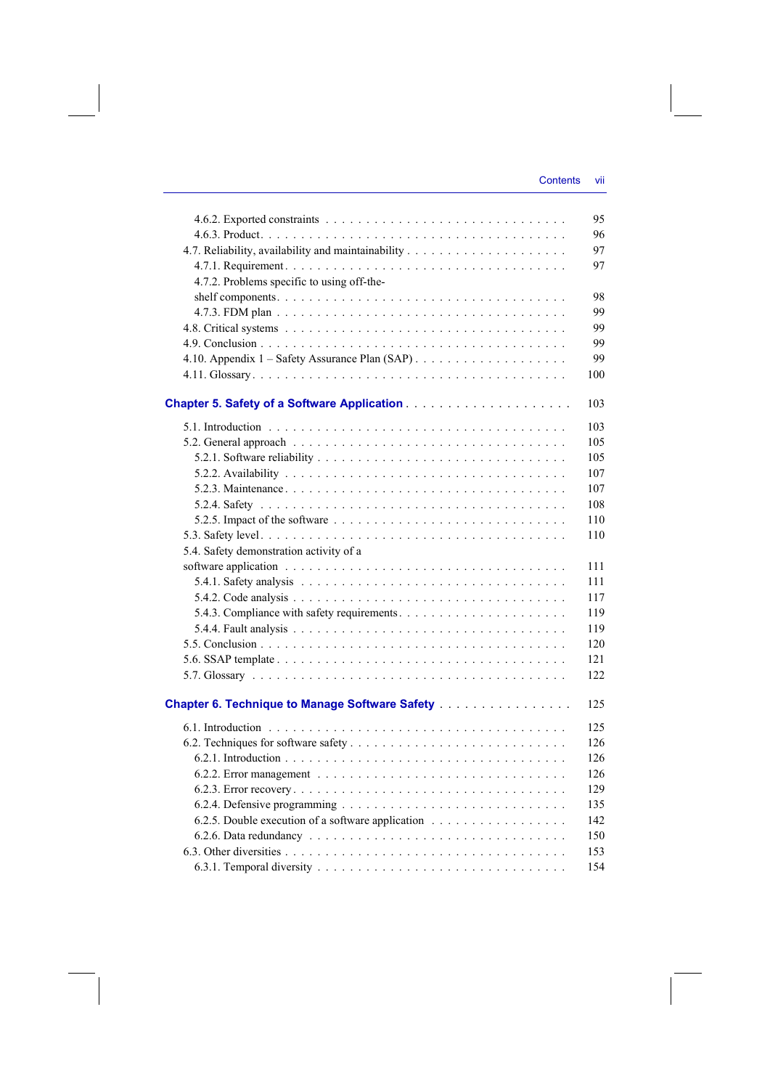|                                                   | 95  |
|---------------------------------------------------|-----|
|                                                   | 96  |
|                                                   | 97  |
|                                                   | 97  |
| 4.7.2. Problems specific to using off-the-        |     |
|                                                   | 98  |
|                                                   | 99  |
|                                                   | 99  |
|                                                   | 99  |
|                                                   | 99  |
|                                                   | 100 |
|                                                   | 103 |
|                                                   | 103 |
|                                                   | 105 |
|                                                   | 105 |
|                                                   | 107 |
|                                                   | 107 |
|                                                   | 108 |
|                                                   | 110 |
|                                                   | 110 |
| 5.4. Safety demonstration activity of a           |     |
|                                                   | 111 |
|                                                   | 111 |
|                                                   | 117 |
|                                                   | 119 |
|                                                   | 119 |
|                                                   | 120 |
|                                                   | 121 |
|                                                   | 122 |
|                                                   |     |
| Chapter 6. Technique to Manage Software Safety    | 125 |
|                                                   | 125 |
|                                                   | 126 |
|                                                   | 126 |
|                                                   | 126 |
|                                                   | 129 |
|                                                   | 135 |
| 6.2.5. Double execution of a software application | 142 |
|                                                   | 150 |
|                                                   | 153 |
|                                                   | 154 |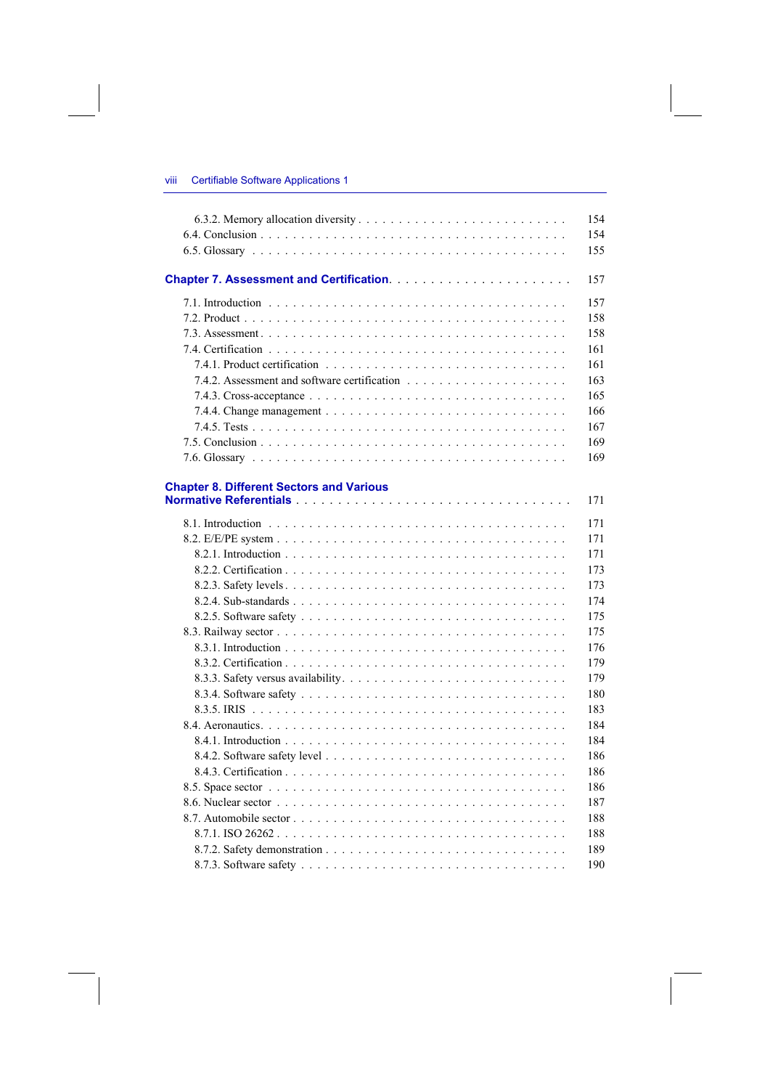|                                                 | 154 |
|-------------------------------------------------|-----|
|                                                 | 154 |
|                                                 | 155 |
|                                                 | 157 |
|                                                 | 157 |
|                                                 | 158 |
|                                                 | 158 |
|                                                 | 161 |
|                                                 | 161 |
|                                                 | 163 |
|                                                 | 165 |
|                                                 | 166 |
|                                                 | 167 |
|                                                 | 169 |
|                                                 | 169 |
|                                                 |     |
| <b>Chapter 8. Different Sectors and Various</b> | 171 |
|                                                 |     |
|                                                 | 171 |
|                                                 | 171 |
|                                                 | 171 |
|                                                 | 173 |
|                                                 | 173 |
|                                                 | 174 |
|                                                 | 175 |
|                                                 | 175 |
|                                                 | 176 |
|                                                 | 179 |
|                                                 | 179 |
|                                                 | 180 |
|                                                 | 183 |
|                                                 | 184 |
|                                                 | 184 |
|                                                 | 186 |
|                                                 | 186 |
|                                                 | 186 |
|                                                 | 187 |
|                                                 | 188 |
|                                                 | 188 |
|                                                 | 189 |
|                                                 | 190 |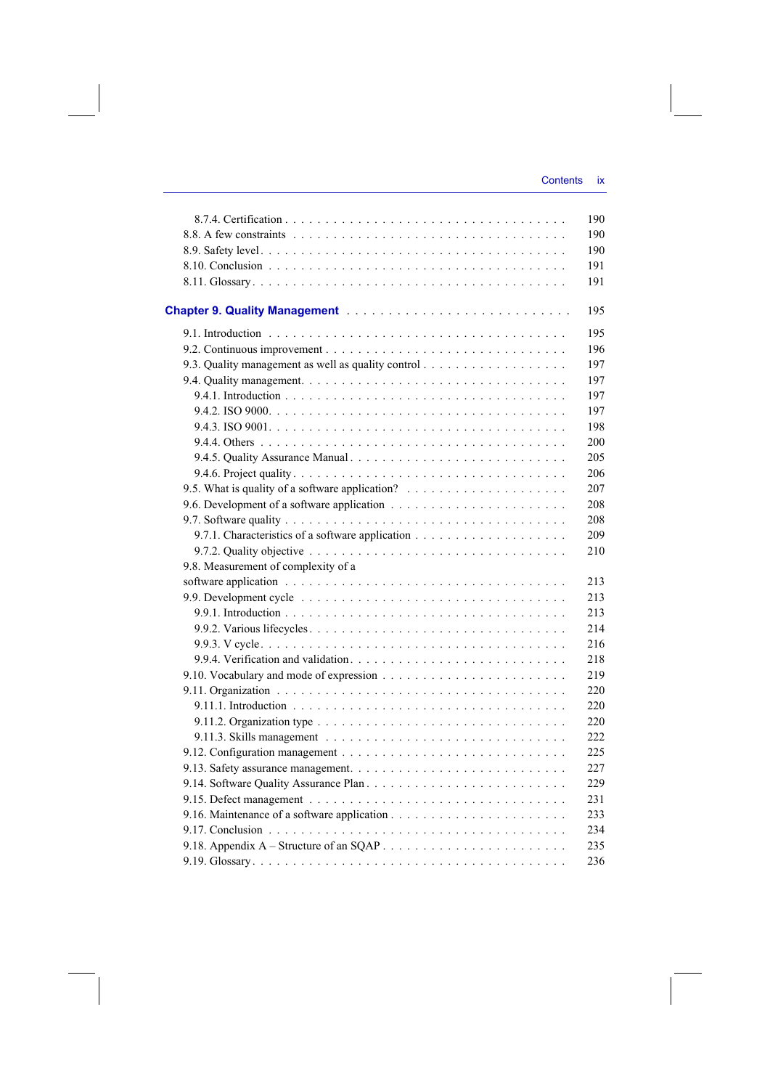| Chapter 9. Quality Management                                                                           |
|---------------------------------------------------------------------------------------------------------|
|                                                                                                         |
|                                                                                                         |
|                                                                                                         |
|                                                                                                         |
|                                                                                                         |
|                                                                                                         |
|                                                                                                         |
|                                                                                                         |
|                                                                                                         |
|                                                                                                         |
|                                                                                                         |
|                                                                                                         |
|                                                                                                         |
|                                                                                                         |
| 9.7.2. Quality objective $\ldots \ldots \ldots \ldots \ldots \ldots \ldots \ldots \ldots \ldots \ldots$ |
| 9.8. Measurement of complexity of a                                                                     |
|                                                                                                         |
|                                                                                                         |
|                                                                                                         |
|                                                                                                         |
|                                                                                                         |
|                                                                                                         |
|                                                                                                         |
|                                                                                                         |
|                                                                                                         |
|                                                                                                         |
|                                                                                                         |
|                                                                                                         |
|                                                                                                         |
|                                                                                                         |
|                                                                                                         |
|                                                                                                         |
|                                                                                                         |
|                                                                                                         |
|                                                                                                         |
|                                                                                                         |